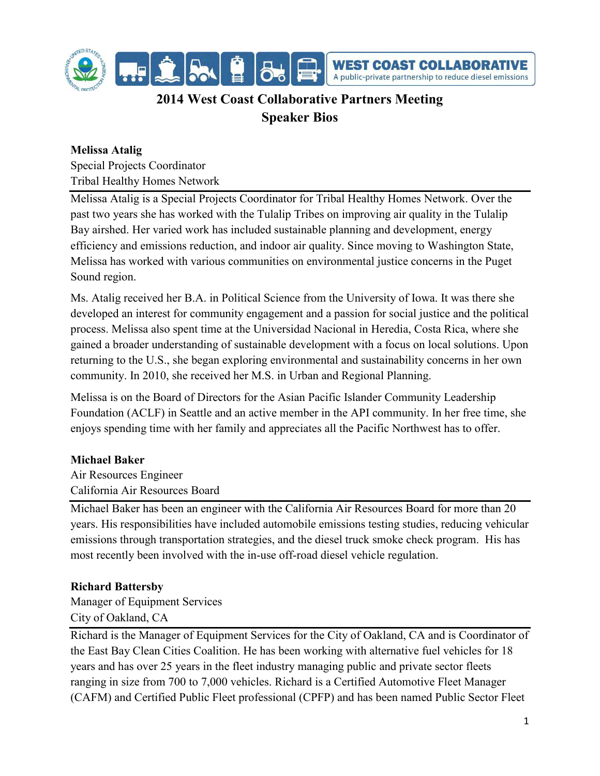

# **2014 West Coast Collaborative Partners Meeting Speaker Bios**

# **Melissa Atalig**

Special Projects Coordinator Tribal Healthy Homes Network

Melissa Atalig is a Special Projects Coordinator for Tribal Healthy Homes Network. Over the past two years she has worked with the Tulalip Tribes on improving air quality in the Tulalip Bay airshed. Her varied work has included sustainable planning and development, energy efficiency and emissions reduction, and indoor air quality. Since moving to Washington State, Melissa has worked with various communities on environmental justice concerns in the Puget Sound region.

Ms. Atalig received her B.A. in Political Science from the University of Iowa. It was there she developed an interest for community engagement and a passion for social justice and the political process. Melissa also spent time at the Universidad Nacional in Heredia, Costa Rica, where she gained a broader understanding of sustainable development with a focus on local solutions. Upon returning to the U.S., she began exploring environmental and sustainability concerns in her own community. In 2010, she received her M.S. in Urban and Regional Planning.

Melissa is on the Board of Directors for the Asian Pacific Islander Community Leadership Foundation (ACLF) in Seattle and an active member in the API community. In her free time, she enjoys spending time with her family and appreciates all the Pacific Northwest has to offer.

# **Michael Baker**

Air Resources Engineer California Air Resources Board

Michael Baker has been an engineer with the California Air Resources Board for more than 20 years. His responsibilities have included automobile emissions testing studies, reducing vehicular emissions through transportation strategies, and the diesel truck smoke check program. His has most recently been involved with the in-use off-road diesel vehicle regulation.

# **Richard Battersby**

Manager of Equipment Services City of Oakland, CA

Richard is the Manager of Equipment Services for the City of Oakland, CA and is Coordinator of the East Bay Clean Cities Coalition. He has been working with alternative fuel vehicles for 18 years and has over 25 years in the fleet industry managing public and private sector fleets ranging in size from 700 to 7,000 vehicles. Richard is a Certified Automotive Fleet Manager (CAFM) and Certified Public Fleet professional (CPFP) and has been named Public Sector Fleet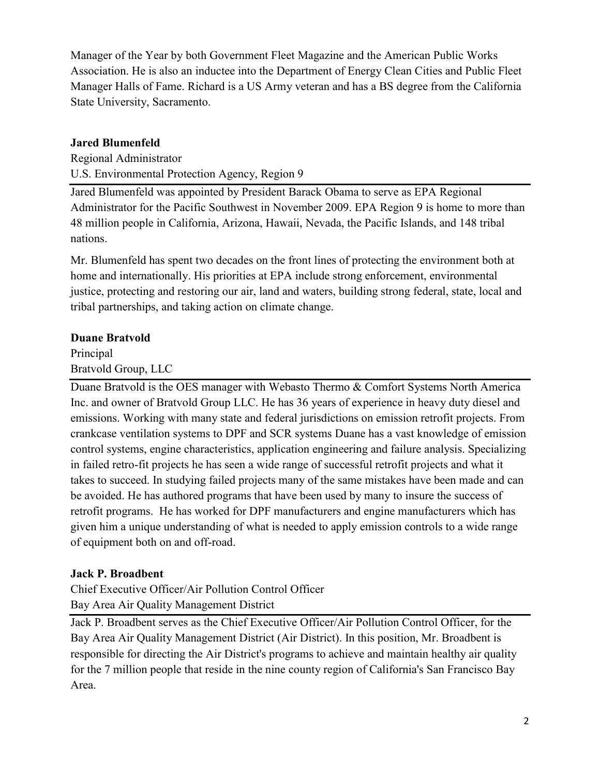Manager of the Year by both Government Fleet Magazine and the American Public Works Association. He is also an inductee into the Department of Energy Clean Cities and Public Fleet Manager Halls of Fame. Richard is a US Army veteran and has a BS degree from the California State University, Sacramento.

## **Jared Blumenfeld**

Regional Administrator U.S. Environmental Protection Agency, Region 9

Jared Blumenfeld was appointed by President Barack Obama to serve as EPA Regional Administrator for the Pacific Southwest in November 2009. EPA Region 9 is home to more than 48 million people in California, Arizona, Hawaii, Nevada, the Pacific Islands, and 148 tribal nations.

Mr. Blumenfeld has spent two decades on the front lines of protecting the environment both at home and internationally. His priorities at EPA include strong enforcement, environmental justice, protecting and restoring our air, land and waters, building strong federal, state, local and tribal partnerships, and taking action on climate change.

## **Duane Bratvold**

Principal Bratvold Group, LLC

Duane Bratvold is the OES manager with Webasto Thermo & Comfort Systems North America Inc. and owner of Bratvold Group LLC. He has 36 years of experience in heavy duty diesel and emissions. Working with many state and federal jurisdictions on emission retrofit projects. From crankcase ventilation systems to DPF and SCR systems Duane has a vast knowledge of emission control systems, engine characteristics, application engineering and failure analysis. Specializing in failed retro-fit projects he has seen a wide range of successful retrofit projects and what it takes to succeed. In studying failed projects many of the same mistakes have been made and can be avoided. He has authored programs that have been used by many to insure the success of retrofit programs. He has worked for DPF manufacturers and engine manufacturers which has given him a unique understanding of what is needed to apply emission controls to a wide range of equipment both on and off-road.

# **Jack P. Broadbent**

Chief Executive Officer/Air Pollution Control Officer Bay Area Air Quality Management District

Jack P. Broadbent serves as the Chief Executive Officer/Air Pollution Control Officer, for the Bay Area Air Quality Management District (Air District). In this position, Mr. Broadbent is responsible for directing the Air District's programs to achieve and maintain healthy air quality for the 7 million people that reside in the nine county region of California's San Francisco Bay Area.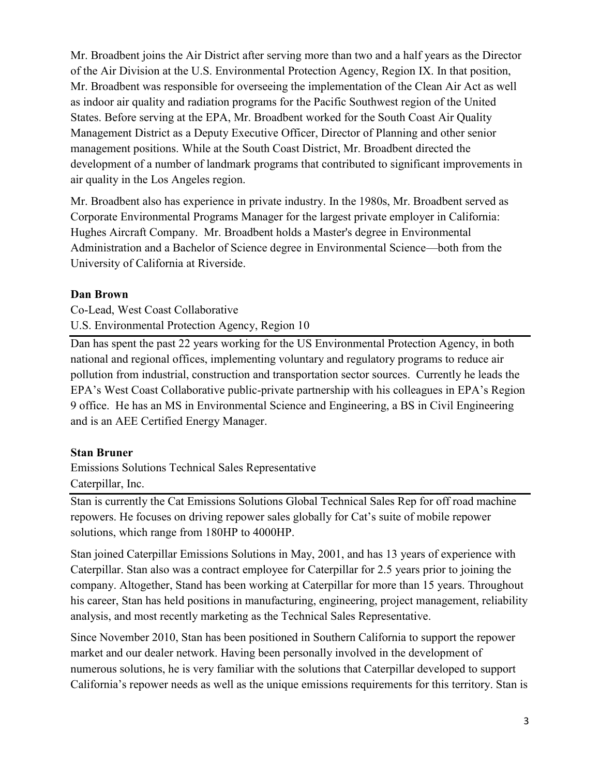Mr. Broadbent joins the Air District after serving more than two and a half years as the Director of the Air Division at the U.S. Environmental Protection Agency, Region IX. In that position, Mr. Broadbent was responsible for overseeing the implementation of the Clean Air Act as well as indoor air quality and radiation programs for the Pacific Southwest region of the United States. Before serving at the EPA, Mr. Broadbent worked for the South Coast Air Quality Management District as a Deputy Executive Officer, Director of Planning and other senior management positions. While at the South Coast District, Mr. Broadbent directed the development of a number of landmark programs that contributed to significant improvements in air quality in the Los Angeles region.

Mr. Broadbent also has experience in private industry. In the 1980s, Mr. Broadbent served as Corporate Environmental Programs Manager for the largest private employer in California: Hughes Aircraft Company. Mr. Broadbent holds a Master's degree in Environmental Administration and a Bachelor of Science degree in Environmental Science—both from the University of California at Riverside.

#### **Dan Brown**

Co-Lead, West Coast Collaborative U.S. Environmental Protection Agency, Region 10

Dan has spent the past 22 years working for the US Environmental Protection Agency, in both national and regional offices, implementing voluntary and regulatory programs to reduce air pollution from industrial, construction and transportation sector sources. Currently he leads the EPA's West Coast Collaborative public-private partnership with his colleagues in EPA's Region 9 office. He has an MS in Environmental Science and Engineering, a BS in Civil Engineering and is an AEE Certified Energy Manager.

# **Stan Bruner**

Emissions Solutions Technical Sales Representative Caterpillar, Inc.

Stan is currently the Cat Emissions Solutions Global Technical Sales Rep for off road machine repowers. He focuses on driving repower sales globally for Cat's suite of mobile repower solutions, which range from 180HP to 4000HP.

Stan joined Caterpillar Emissions Solutions in May, 2001, and has 13 years of experience with Caterpillar. Stan also was a contract employee for Caterpillar for 2.5 years prior to joining the company. Altogether, Stand has been working at Caterpillar for more than 15 years. Throughout his career, Stan has held positions in manufacturing, engineering, project management, reliability analysis, and most recently marketing as the Technical Sales Representative.

Since November 2010, Stan has been positioned in Southern California to support the repower market and our dealer network. Having been personally involved in the development of numerous solutions, he is very familiar with the solutions that Caterpillar developed to support California's repower needs as well as the unique emissions requirements for this territory. Stan is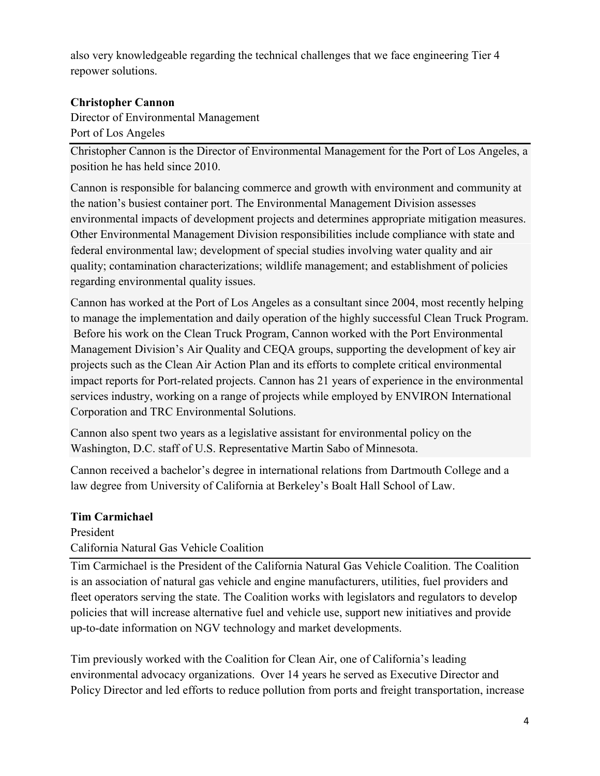also very knowledgeable regarding the technical challenges that we face engineering Tier 4 repower solutions.

## **Christopher Cannon**

Director of Environmental Management Port of Los Angeles

Christopher Cannon is the Director of Environmental Management for the Port of Los Angeles, a position he has held since 2010.

Cannon is responsible for balancing commerce and growth with environment and community at the nation's busiest container port. The Environmental Management Division assesses environmental impacts of development projects and determines appropriate mitigation measures. Other Environmental Management Division responsibilities include compliance with state and federal environmental law; development of special studies involving water quality and air quality; contamination characterizations; wildlife management; and establishment of policies regarding environmental quality issues.

Cannon has worked at the Port of Los Angeles as a consultant since 2004, most recently helping to manage the implementation and daily operation of the highly successful Clean Truck Program. Before his work on the Clean Truck Program, Cannon worked with the Port Environmental Management Division's Air Quality and CEQA groups, supporting the development of key air projects such as the Clean Air Action Plan and its efforts to complete critical environmental impact reports for Port-related projects. Cannon has 21 years of experience in the environmental services industry, working on a range of projects while employed by ENVIRON International Corporation and TRC Environmental Solutions.

Cannon also spent two years as a legislative assistant for environmental policy on the Washington, D.C. staff of U.S. Representative Martin Sabo of Minnesota.

Cannon received a bachelor's degree in international relations from Dartmouth College and a law degree from University of California at Berkeley's Boalt Hall School of Law.

#### **Tim Carmichael**

President California Natural Gas Vehicle Coalition

Tim Carmichael is the President of the California Natural Gas Vehicle Coalition. The Coalition is an association of natural gas vehicle and engine manufacturers, utilities, fuel providers and fleet operators serving the state. The Coalition works with legislators and regulators to develop policies that will increase alternative fuel and vehicle use, support new initiatives and provide up-to-date information on NGV technology and market developments.

Tim previously worked with the Coalition for Clean Air, one of California's leading environmental advocacy organizations. Over 14 years he served as Executive Director and Policy Director and led efforts to reduce pollution from ports and freight transportation, increase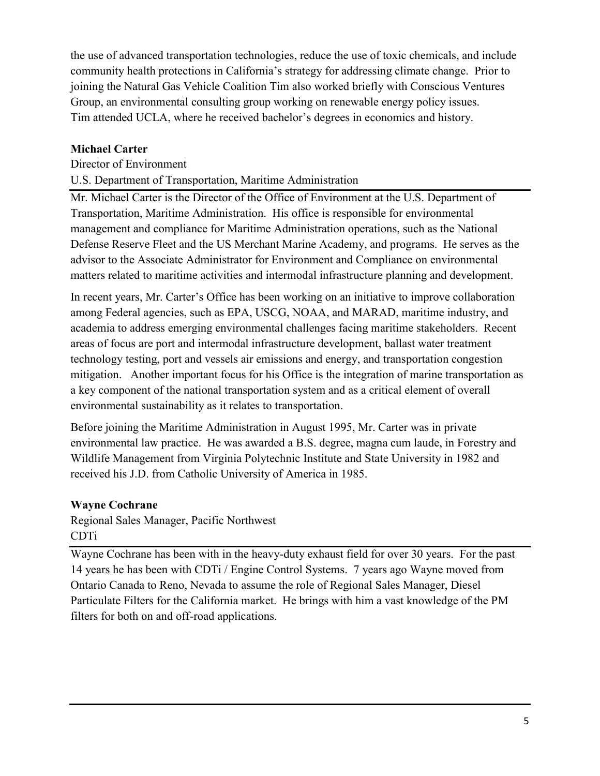the use of advanced transportation technologies, reduce the use of toxic chemicals, and include community health protections in California's strategy for addressing climate change. Prior to joining the Natural Gas Vehicle Coalition Tim also worked briefly with Conscious Ventures Group, an environmental consulting group working on renewable energy policy issues. Tim attended UCLA, where he received bachelor's degrees in economics and history.

# **Michael Carter**

#### Director of Environment

## U.S. Department of Transportation, Maritime Administration

Mr. Michael Carter is the Director of the Office of Environment at the U.S. Department of Transportation, Maritime Administration. His office is responsible for environmental management and compliance for Maritime Administration operations, such as the National Defense Reserve Fleet and the US Merchant Marine Academy, and programs. He serves as the advisor to the Associate Administrator for Environment and Compliance on environmental matters related to maritime activities and intermodal infrastructure planning and development.

In recent years, Mr. Carter's Office has been working on an initiative to improve collaboration among Federal agencies, such as EPA, USCG, NOAA, and MARAD, maritime industry, and academia to address emerging environmental challenges facing maritime stakeholders. Recent areas of focus are port and intermodal infrastructure development, ballast water treatment technology testing, port and vessels air emissions and energy, and transportation congestion mitigation. Another important focus for his Office is the integration of marine transportation as a key component of the national transportation system and as a critical element of overall environmental sustainability as it relates to transportation.

Before joining the Maritime Administration in August 1995, Mr. Carter was in private environmental law practice. He was awarded a B.S. degree, magna cum laude, in Forestry and Wildlife Management from Virginia Polytechnic Institute and State University in 1982 and received his J.D. from Catholic University of America in 1985.

#### **Wayne Cochrane**

Regional Sales Manager, Pacific Northwest CDTi

Wayne Cochrane has been with in the heavy-duty exhaust field for over 30 years. For the past 14 years he has been with CDTi / Engine Control Systems. 7 years ago Wayne moved from Ontario Canada to Reno, Nevada to assume the role of Regional Sales Manager, Diesel Particulate Filters for the California market. He brings with him a vast knowledge of the PM filters for both on and off-road applications.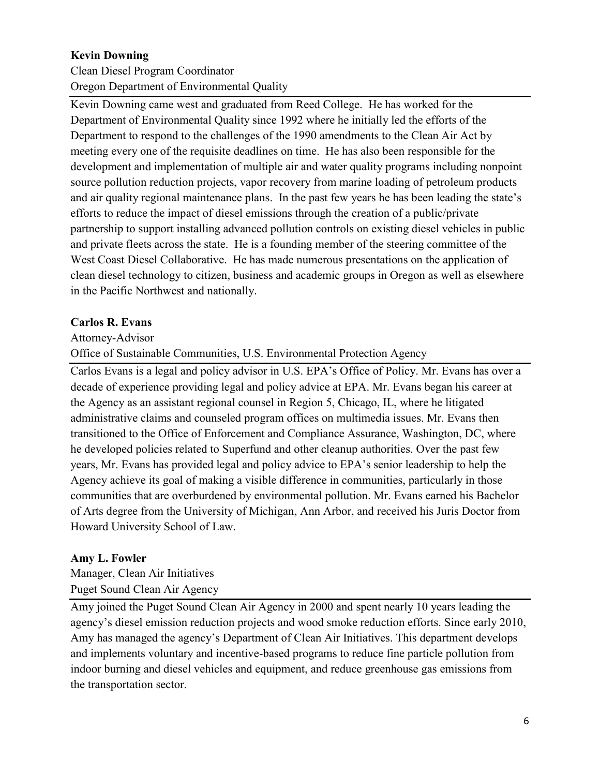## **Kevin Downing**

Clean Diesel Program Coordinator Oregon Department of Environmental Quality

Kevin Downing came west and graduated from Reed College. He has worked for the Department of Environmental Quality since 1992 where he initially led the efforts of the Department to respond to the challenges of the 1990 amendments to the Clean Air Act by meeting every one of the requisite deadlines on time. He has also been responsible for the development and implementation of multiple air and water quality programs including nonpoint source pollution reduction projects, vapor recovery from marine loading of petroleum products and air quality regional maintenance plans. In the past few years he has been leading the state's efforts to reduce the impact of diesel emissions through the creation of a public/private partnership to support installing advanced pollution controls on existing diesel vehicles in public and private fleets across the state. He is a founding member of the steering committee of the West Coast Diesel Collaborative. He has made numerous presentations on the application of clean diesel technology to citizen, business and academic groups in Oregon as well as elsewhere in the Pacific Northwest and nationally.

## **Carlos R. Evans**

Attorney-Advisor

Office of Sustainable Communities, U.S. Environmental Protection Agency

Carlos Evans is a legal and policy advisor in U.S. EPA's Office of Policy. Mr. Evans has over a decade of experience providing legal and policy advice at EPA. Mr. Evans began his career at the Agency as an assistant regional counsel in Region 5, Chicago, IL, where he litigated administrative claims and counseled program offices on multimedia issues. Mr. Evans then transitioned to the Office of Enforcement and Compliance Assurance, Washington, DC, where he developed policies related to Superfund and other cleanup authorities. Over the past few years, Mr. Evans has provided legal and policy advice to EPA's senior leadership to help the Agency achieve its goal of making a visible difference in communities, particularly in those communities that are overburdened by environmental pollution. Mr. Evans earned his Bachelor of Arts degree from the University of Michigan, Ann Arbor, and received his Juris Doctor from Howard University School of Law.

#### **Amy L. Fowler**

Manager, Clean Air Initiatives Puget Sound Clean Air Agency

Amy joined the Puget Sound Clean Air Agency in 2000 and spent nearly 10 years leading the agency's diesel emission reduction projects and wood smoke reduction efforts. Since early 2010, Amy has managed the agency's Department of Clean Air Initiatives. This department develops and implements voluntary and incentive-based programs to reduce fine particle pollution from indoor burning and diesel vehicles and equipment, and reduce greenhouse gas emissions from the transportation sector.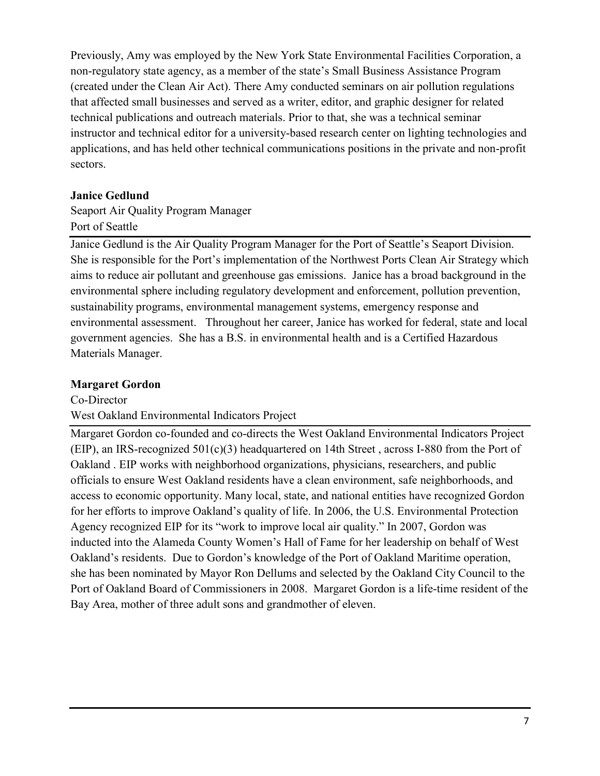Previously, Amy was employed by the New York State Environmental Facilities Corporation, a non-regulatory state agency, as a member of the state's Small Business Assistance Program (created under the Clean Air Act). There Amy conducted seminars on air pollution regulations that affected small businesses and served as a writer, editor, and graphic designer for related technical publications and outreach materials. Prior to that, she was a technical seminar instructor and technical editor for a university-based research center on lighting technologies and applications, and has held other technical communications positions in the private and non-profit sectors.

#### **Janice Gedlund**

Seaport Air Quality Program Manager Port of Seattle

Janice Gedlund is the Air Quality Program Manager for the Port of Seattle's Seaport Division. She is responsible for the Port's implementation of the Northwest Ports Clean Air Strategy which aims to reduce air pollutant and greenhouse gas emissions. Janice has a broad background in the environmental sphere including regulatory development and enforcement, pollution prevention, sustainability programs, environmental management systems, emergency response and environmental assessment. Throughout her career, Janice has worked for federal, state and local government agencies. She has a B.S. in environmental health and is a Certified Hazardous Materials Manager.

## **Margaret Gordon**

Co-Director

West Oakland Environmental Indicators Project

Margaret Gordon co-founded and co-directs the West Oakland Environmental Indicators Project (EIP), an IRS-recognized 501(c)(3) headquartered on 14th Street , across I-880 from the Port of Oakland . EIP works with neighborhood organizations, physicians, researchers, and public officials to ensure West Oakland residents have a clean environment, safe neighborhoods, and access to economic opportunity. Many local, state, and national entities have recognized Gordon for her efforts to improve Oakland's quality of life. In 2006, the U.S. Environmental Protection Agency recognized EIP for its "work to improve local air quality." In 2007, Gordon was inducted into the Alameda County Women's Hall of Fame for her leadership on behalf of West Oakland's residents. Due to Gordon's knowledge of the Port of Oakland Maritime operation, she has been nominated by Mayor Ron Dellums and selected by the Oakland City Council to the Port of Oakland Board of Commissioners in 2008. Margaret Gordon is a life-time resident of the Bay Area, mother of three adult sons and grandmother of eleven.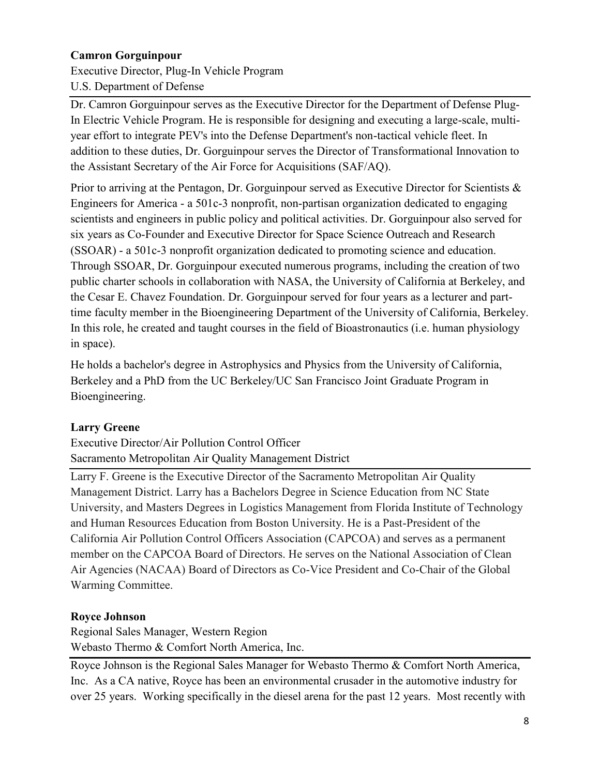## **Camron Gorguinpour**

Executive Director, Plug-In Vehicle Program U.S. Department of Defense

Dr. Camron Gorguinpour serves as the Executive Director for the Department of Defense Plug-In Electric Vehicle Program. He is responsible for designing and executing a large-scale, multiyear effort to integrate PEV's into the Defense Department's non-tactical vehicle fleet. In addition to these duties, Dr. Gorguinpour serves the Director of Transformational Innovation to the Assistant Secretary of the Air Force for Acquisitions (SAF/AQ).

Prior to arriving at the Pentagon, Dr. Gorguinpour served as Executive Director for Scientists & Engineers for America - a 501c-3 nonprofit, non-partisan organization dedicated to engaging scientists and engineers in public policy and political activities. Dr. Gorguinpour also served for six years as Co-Founder and Executive Director for Space Science Outreach and Research (SSOAR) - a 501c-3 nonprofit organization dedicated to promoting science and education. Through SSOAR, Dr. Gorguinpour executed numerous programs, including the creation of two public charter schools in collaboration with NASA, the University of California at Berkeley, and the Cesar E. Chavez Foundation. Dr. Gorguinpour served for four years as a lecturer and parttime faculty member in the Bioengineering Department of the University of California, Berkeley. In this role, he created and taught courses in the field of Bioastronautics (i.e. human physiology in space).

He holds a bachelor's degree in Astrophysics and Physics from the University of California, Berkeley and a PhD from the UC Berkeley/UC San Francisco Joint Graduate Program in Bioengineering.

#### **Larry Greene**

Executive Director/Air Pollution Control Officer Sacramento Metropolitan Air Quality Management District

Larry F. Greene is the Executive Director of the Sacramento Metropolitan Air Quality Management District. Larry has a Bachelors Degree in Science Education from NC State University, and Masters Degrees in Logistics Management from Florida Institute of Technology and Human Resources Education from Boston University. He is a Past-President of the California Air Pollution Control Officers Association (CAPCOA) and serves as a permanent member on the CAPCOA Board of Directors. He serves on the National Association of Clean Air Agencies (NACAA) Board of Directors as Co-Vice President and Co-Chair of the Global Warming Committee.

# **Royce Johnson**

Regional Sales Manager, Western Region Webasto Thermo & Comfort North America, Inc.

Royce Johnson is the Regional Sales Manager for Webasto Thermo & Comfort North America, Inc. As a CA native, Royce has been an environmental crusader in the automotive industry for over 25 years. Working specifically in the diesel arena for the past 12 years. Most recently with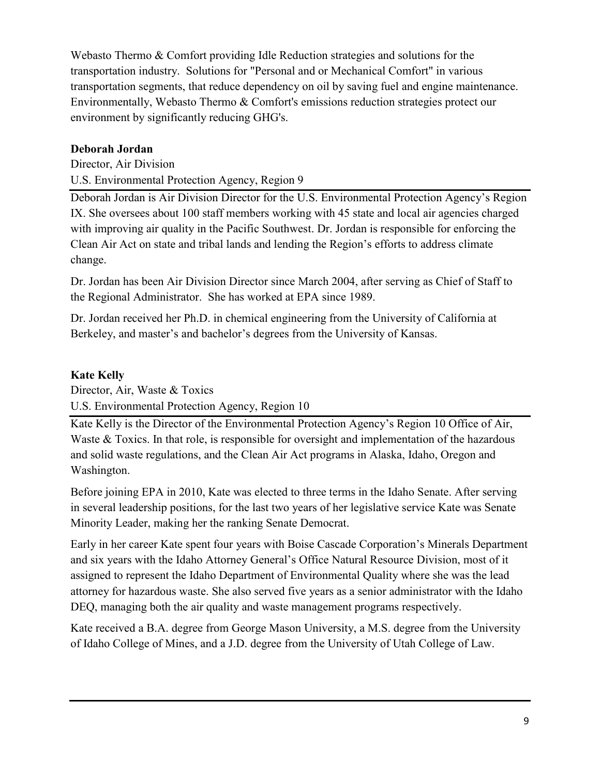Webasto Thermo & Comfort providing Idle Reduction strategies and solutions for the transportation industry. Solutions for "Personal and or Mechanical Comfort" in various transportation segments, that reduce dependency on oil by saving fuel and engine maintenance. Environmentally, Webasto Thermo & Comfort's emissions reduction strategies protect our environment by significantly reducing GHG's.

# **Deborah Jordan**

Director, Air Division U.S. Environmental Protection Agency, Region 9

Deborah Jordan is Air Division Director for the U.S. Environmental Protection Agency's Region IX. She oversees about 100 staff members working with 45 state and local air agencies charged with improving air quality in the Pacific Southwest. Dr. Jordan is responsible for enforcing the Clean Air Act on state and tribal lands and lending the Region's efforts to address climate change.

Dr. Jordan has been Air Division Director since March 2004, after serving as Chief of Staff to the Regional Administrator. She has worked at EPA since 1989.

Dr. Jordan received her Ph.D. in chemical engineering from the University of California at Berkeley, and master's and bachelor's degrees from the University of Kansas.

## **Kate Kelly**

Director, Air, Waste & Toxics

U.S. Environmental Protection Agency, Region 10

Kate Kelly is the Director of the Environmental Protection Agency's Region 10 Office of Air, Waste & Toxics. In that role, is responsible for oversight and implementation of the hazardous and solid waste regulations, and the Clean Air Act programs in Alaska, Idaho, Oregon and Washington.

Before joining EPA in 2010, Kate was elected to three terms in the Idaho Senate. After serving in several leadership positions, for the last two years of her legislative service Kate was Senate Minority Leader, making her the ranking Senate Democrat.

Early in her career Kate spent four years with Boise Cascade Corporation's Minerals Department and six years with the Idaho Attorney General's Office Natural Resource Division, most of it assigned to represent the Idaho Department of Environmental Quality where she was the lead attorney for hazardous waste. She also served five years as a senior administrator with the Idaho DEQ, managing both the air quality and waste management programs respectively.

Kate received a B.A. degree from George Mason University, a M.S. degree from the University of Idaho College of Mines, and a J.D. degree from the University of Utah College of Law.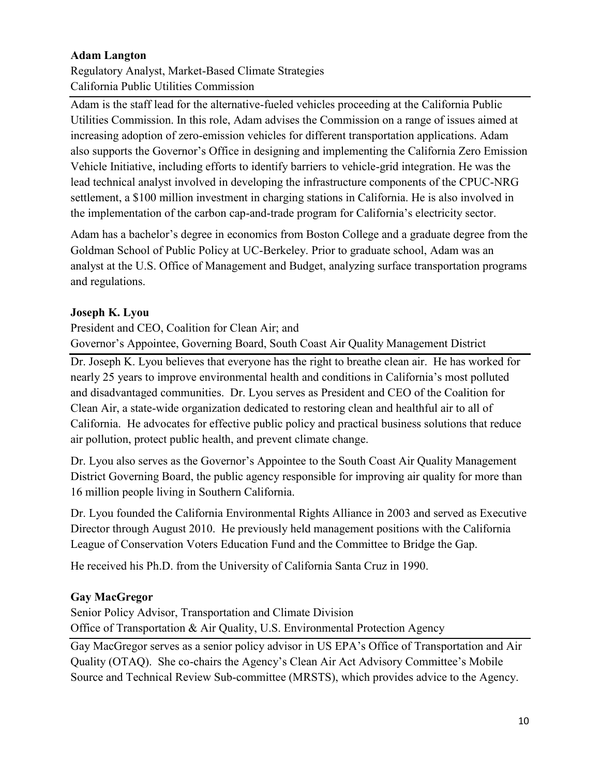# **Adam Langton**

Regulatory Analyst, Market-Based Climate Strategies California Public Utilities Commission

Adam is the staff lead for the alternative-fueled vehicles proceeding at the California Public Utilities Commission. In this role, Adam advises the Commission on a range of issues aimed at increasing adoption of zero-emission vehicles for different transportation applications. Adam also supports the Governor's Office in designing and implementing the California Zero Emission Vehicle Initiative, including efforts to identify barriers to vehicle-grid integration. He was the lead technical analyst involved in developing the infrastructure components of the CPUC-NRG settlement, a \$100 million investment in charging stations in California. He is also involved in the implementation of the carbon cap-and-trade program for California's electricity sector.

Adam has a bachelor's degree in economics from Boston College and a graduate degree from the Goldman School of Public Policy at UC-Berkeley. Prior to graduate school, Adam was an analyst at the U.S. Office of Management and Budget, analyzing surface transportation programs and regulations.

## **Joseph K. Lyou**

President and CEO, Coalition for Clean Air; and Governor's Appointee, Governing Board, South Coast Air Quality Management District

Dr. Joseph K. Lyou believes that everyone has the right to breathe clean air. He has worked for nearly 25 years to improve environmental health and conditions in California's most polluted and disadvantaged communities. Dr. Lyou serves as President and CEO of the Coalition for Clean Air, a state-wide organization dedicated to restoring clean and healthful air to all of California. He advocates for effective public policy and practical business solutions that reduce air pollution, protect public health, and prevent climate change.

Dr. Lyou also serves as the Governor's Appointee to the South Coast Air Quality Management District Governing Board, the public agency responsible for improving air quality for more than 16 million people living in Southern California.

Dr. Lyou founded the California Environmental Rights Alliance in 2003 and served as Executive Director through August 2010. He previously held management positions with the California League of Conservation Voters Education Fund and the Committee to Bridge the Gap.

He received his Ph.D. from the University of California Santa Cruz in 1990.

#### **Gay MacGregor**

Senior Policy Advisor, Transportation and Climate Division Office of Transportation & Air Quality, U.S. Environmental Protection Agency

Gay MacGregor serves as a senior policy advisor in US EPA's Office of Transportation and Air Quality (OTAQ). She co-chairs the Agency's Clean Air Act Advisory Committee's Mobile Source and Technical Review Sub-committee (MRSTS), which provides advice to the Agency.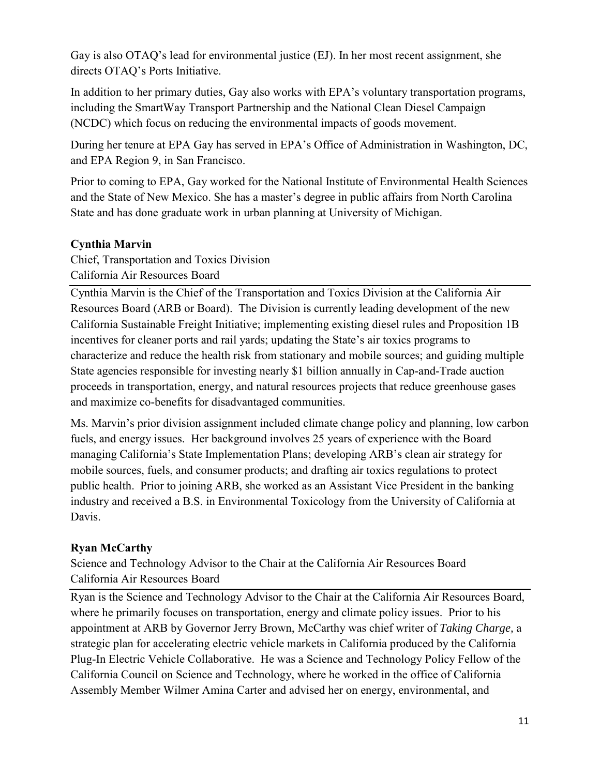Gay is also OTAQ's lead for environmental justice (EJ). In her most recent assignment, she directs OTAQ's Ports Initiative.

In addition to her primary duties, Gay also works with EPA's voluntary transportation programs, including the SmartWay Transport Partnership and the National Clean Diesel Campaign (NCDC) which focus on reducing the environmental impacts of goods movement.

During her tenure at EPA Gay has served in EPA's Office of Administration in Washington, DC, and EPA Region 9, in San Francisco.

Prior to coming to EPA, Gay worked for the National Institute of Environmental Health Sciences and the State of New Mexico. She has a master's degree in public affairs from North Carolina State and has done graduate work in urban planning at University of Michigan.

## **Cynthia Marvin**

Chief, Transportation and Toxics Division California Air Resources Board

Cynthia Marvin is the Chief of the Transportation and Toxics Division at the California Air Resources Board (ARB or Board). The Division is currently leading development of the new California Sustainable Freight Initiative; implementing existing diesel rules and Proposition 1B incentives for cleaner ports and rail yards; updating the State's air toxics programs to characterize and reduce the health risk from stationary and mobile sources; and guiding multiple State agencies responsible for investing nearly \$1 billion annually in Cap-and-Trade auction proceeds in transportation, energy, and natural resources projects that reduce greenhouse gases and maximize co-benefits for disadvantaged communities.

Ms. Marvin's prior division assignment included climate change policy and planning, low carbon fuels, and energy issues. Her background involves 25 years of experience with the Board managing California's State Implementation Plans; developing ARB's clean air strategy for mobile sources, fuels, and consumer products; and drafting air toxics regulations to protect public health. Prior to joining ARB, she worked as an Assistant Vice President in the banking industry and received a B.S. in Environmental Toxicology from the University of California at Davis.

# **Ryan McCarthy**

Science and Technology Advisor to the Chair at the California Air Resources Board California Air Resources Board

Ryan is the Science and Technology Advisor to the Chair at the California Air Resources Board, where he primarily focuses on transportation, energy and climate policy issues. Prior to his appointment at ARB by Governor Jerry Brown, McCarthy was chief writer of *Taking Charge,* a strategic plan for accelerating electric vehicle markets in California produced by the California Plug-In Electric Vehicle Collaborative. He was a Science and Technology Policy Fellow of the California Council on Science and Technology, where he worked in the office of California Assembly Member Wilmer Amina Carter and advised her on energy, environmental, and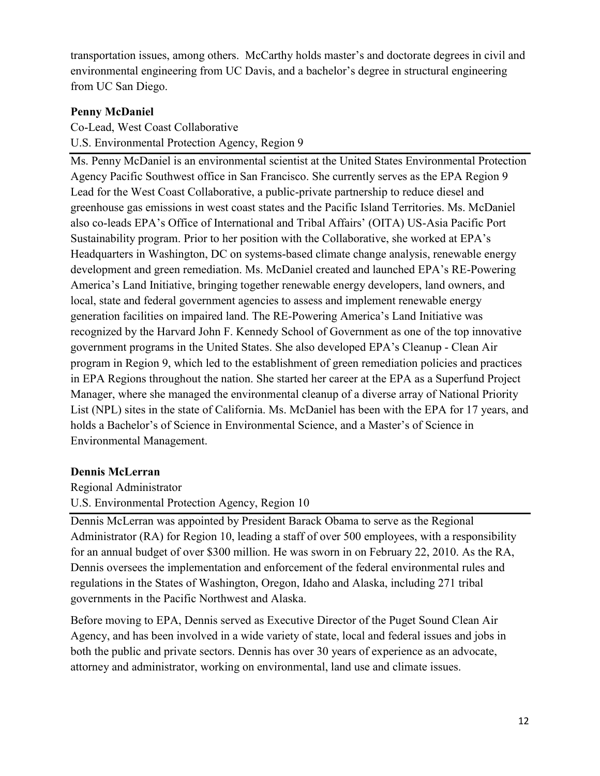transportation issues, among others. McCarthy holds master's and doctorate degrees in civil and environmental engineering from UC Davis, and a bachelor's degree in structural engineering from UC San Diego.

## **Penny McDaniel**

Co-Lead, West Coast Collaborative U.S. Environmental Protection Agency, Region 9

Ms. Penny McDaniel is an environmental scientist at the United States Environmental Protection Agency Pacific Southwest office in San Francisco. She currently serves as the EPA Region 9 Lead for the West Coast Collaborative, a public-private partnership to reduce diesel and greenhouse gas emissions in west coast states and the Pacific Island Territories. Ms. McDaniel also co-leads EPA's Office of International and Tribal Affairs' (OITA) US-Asia Pacific Port Sustainability program. Prior to her position with the Collaborative, she worked at EPA's Headquarters in Washington, DC on systems-based climate change analysis, renewable energy development and green remediation. Ms. McDaniel created and launched EPA's RE-Powering America's Land Initiative, bringing together renewable energy developers, land owners, and local, state and federal government agencies to assess and implement renewable energy generation facilities on impaired land. The RE-Powering America's Land Initiative was recognized by the Harvard John F. Kennedy School of Government as one of the top innovative government programs in the United States. She also developed EPA's Cleanup - Clean Air program in Region 9, which led to the establishment of green remediation policies and practices in EPA Regions throughout the nation. She started her career at the EPA as a Superfund Project Manager, where she managed the environmental cleanup of a diverse array of National Priority List (NPL) sites in the state of California. Ms. McDaniel has been with the EPA for 17 years, and holds a Bachelor's of Science in Environmental Science, and a Master's of Science in Environmental Management.

#### **Dennis McLerran**

Regional Administrator

U.S. Environmental Protection Agency, Region 10

Dennis McLerran was appointed by President Barack Obama to serve as the Regional Administrator (RA) for Region 10, leading a staff of over 500 employees, with a responsibility for an annual budget of over \$300 million. He was sworn in on February 22, 2010. As the RA, Dennis oversees the implementation and enforcement of the federal environmental rules and regulations in the States of Washington, Oregon, Idaho and Alaska, including 271 tribal governments in the Pacific Northwest and Alaska.

Before moving to EPA, Dennis served as Executive Director of the Puget Sound Clean Air Agency, and has been involved in a wide variety of state, local and federal issues and jobs in both the public and private sectors. Dennis has over 30 years of experience as an advocate, attorney and administrator, working on environmental, land use and climate issues.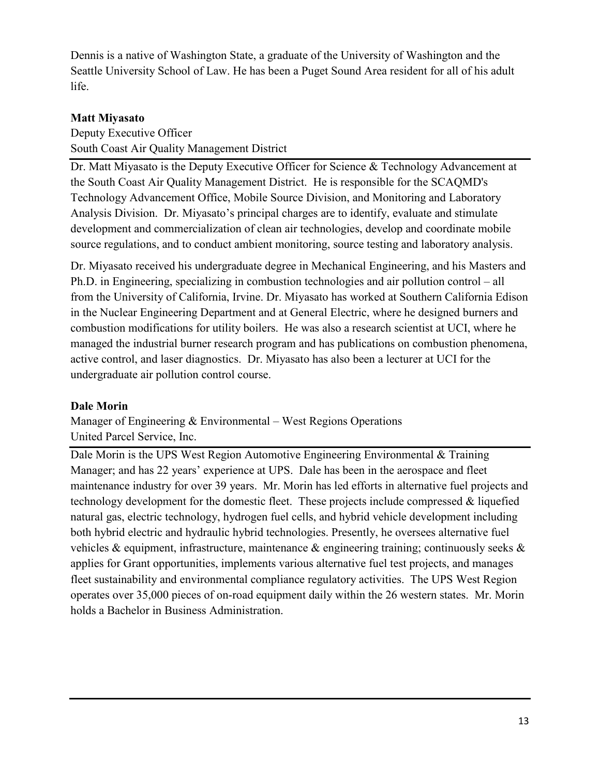Dennis is a native of Washington State, a graduate of the University of Washington and the Seattle University School of Law. He has been a Puget Sound Area resident for all of his adult life.

## **Matt Miyasato**

Deputy Executive Officer South Coast Air Quality Management District

Dr. Matt Miyasato is the Deputy Executive Officer for Science & Technology Advancement at the South Coast Air Quality Management District. He is responsible for the SCAQMD's Technology Advancement Office, Mobile Source Division, and Monitoring and Laboratory Analysis Division. Dr. Miyasato's principal charges are to identify, evaluate and stimulate development and commercialization of clean air technologies, develop and coordinate mobile source regulations, and to conduct ambient monitoring, source testing and laboratory analysis.

Dr. Miyasato received his undergraduate degree in Mechanical Engineering, and his Masters and Ph.D. in Engineering, specializing in combustion technologies and air pollution control – all from the University of California, Irvine. Dr. Miyasato has worked at Southern California Edison in the Nuclear Engineering Department and at General Electric, where he designed burners and combustion modifications for utility boilers. He was also a research scientist at UCI, where he managed the industrial burner research program and has publications on combustion phenomena, active control, and laser diagnostics. Dr. Miyasato has also been a lecturer at UCI for the undergraduate air pollution control course.

#### **Dale Morin**

Manager of Engineering & Environmental – West Regions Operations United Parcel Service, Inc.

Dale Morin is the UPS West Region Automotive Engineering Environmental & Training Manager; and has 22 years' experience at UPS. Dale has been in the aerospace and fleet maintenance industry for over 39 years. Mr. Morin has led efforts in alternative fuel projects and technology development for the domestic fleet. These projects include compressed  $\&$  liquefied natural gas, electric technology, hydrogen fuel cells, and hybrid vehicle development including both hybrid electric and hydraulic hybrid technologies. Presently, he oversees alternative fuel vehicles & equipment, infrastructure, maintenance & engineering training; continuously seeks & applies for Grant opportunities, implements various alternative fuel test projects, and manages fleet sustainability and environmental compliance regulatory activities. The UPS West Region operates over 35,000 pieces of on-road equipment daily within the 26 western states. Mr. Morin holds a Bachelor in Business Administration.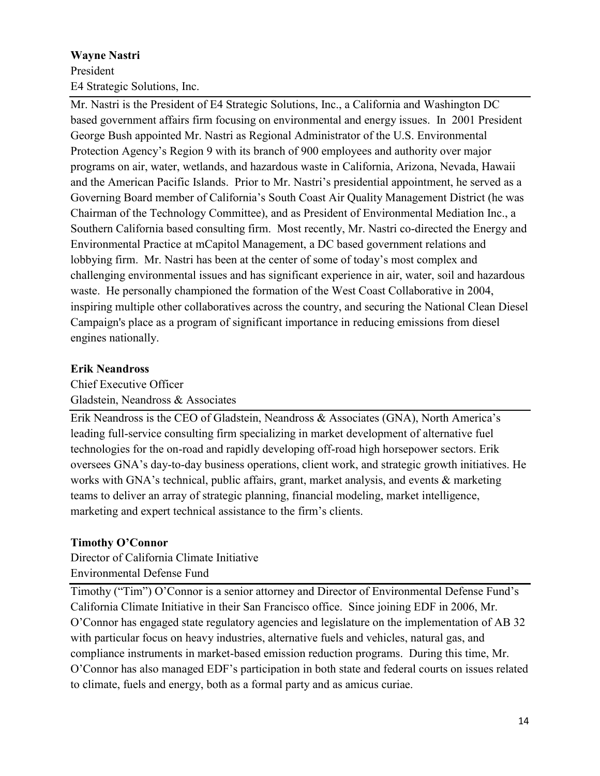# **Wayne Nastri**  President E4 Strategic Solutions, Inc.

Mr. Nastri is the President of E4 Strategic Solutions, Inc., a California and Washington DC based government affairs firm focusing on environmental and energy issues. In 2001 President George Bush appointed Mr. Nastri as Regional Administrator of the U.S. Environmental Protection Agency's Region 9 with its branch of 900 employees and authority over major programs on air, water, wetlands, and hazardous waste in California, Arizona, Nevada, Hawaii and the American Pacific Islands. Prior to Mr. Nastri's presidential appointment, he served as a Governing Board member of California's South Coast Air Quality Management District (he was Chairman of the Technology Committee), and as President of Environmental Mediation Inc., a Southern California based consulting firm. Most recently, Mr. Nastri co-directed the Energy and Environmental Practice at mCapitol Management, a DC based government relations and lobbying firm. Mr. Nastri has been at the center of some of today's most complex and challenging environmental issues and has significant experience in air, water, soil and hazardous waste. He personally championed the formation of the West Coast Collaborative in 2004, inspiring multiple other collaboratives across the country, and securing the National Clean Diesel Campaign's place as a program of significant importance in reducing emissions from diesel engines nationally.

# **Erik Neandross**

Chief Executive Officer Gladstein, Neandross & Associates

Erik Neandross is the CEO of Gladstein, Neandross & Associates (GNA), North America's leading full-service consulting firm specializing in market development of alternative fuel technologies for the on-road and rapidly developing off-road high horsepower sectors. Erik oversees GNA's day-to-day business operations, client work, and strategic growth initiatives. He works with GNA's technical, public affairs, grant, market analysis, and events & marketing teams to deliver an array of strategic planning, financial modeling, market intelligence, marketing and expert technical assistance to the firm's clients.

# **Timothy O'Connor**

Director of California Climate Initiative Environmental Defense Fund

Timothy ("Tim") O'Connor is a senior attorney and Director of Environmental Defense Fund's California Climate Initiative in their San Francisco office. Since joining EDF in 2006, Mr. O'Connor has engaged state regulatory agencies and legislature on the implementation of AB 32 with particular focus on heavy industries, alternative fuels and vehicles, natural gas, and compliance instruments in market-based emission reduction programs. During this time, Mr. O'Connor has also managed EDF's participation in both state and federal courts on issues related to climate, fuels and energy, both as a formal party and as amicus curiae.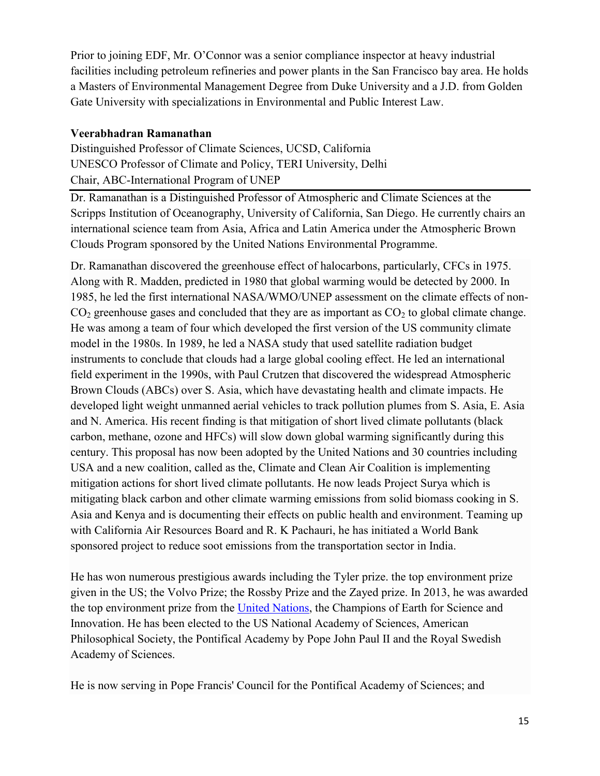Prior to joining EDF, Mr. O'Connor was a senior compliance inspector at heavy industrial facilities including petroleum refineries and power plants in the San Francisco bay area. He holds a Masters of Environmental Management Degree from Duke University and a J.D. from Golden Gate University with specializations in Environmental and Public Interest Law.

#### **Veerabhadran Ramanathan**

Distinguished Professor of Climate Sciences, UCSD, California UNESCO Professor of Climate and Policy, TERI University, Delhi Chair, ABC-International Program of UNEP

Dr. Ramanathan is a Distinguished Professor of Atmospheric and Climate Sciences at the Scripps Institution of Oceanography, University of California, San Diego. He currently chairs an international science team from Asia, Africa and Latin America under the Atmospheric Brown Clouds Program sponsored by the United Nations Environmental Programme.

Dr. Ramanathan discovered the greenhouse effect of halocarbons, particularly, CFCs in 1975. Along with R. Madden, predicted in 1980 that global warming would be detected by 2000. In 1985, he led the first international NASA/WMO/UNEP assessment on the climate effects of non- $CO<sub>2</sub>$  greenhouse gases and concluded that they are as important as  $CO<sub>2</sub>$  to global climate change. He was among a team of four which developed the first version of the US community climate model in the 1980s. In 1989, he led a NASA study that used satellite radiation budget instruments to conclude that clouds had a large global cooling effect. He led an international field experiment in the 1990s, with Paul Crutzen that discovered the widespread Atmospheric Brown Clouds (ABCs) over S. Asia, which have devastating health and climate impacts. He developed light weight unmanned aerial vehicles to track pollution plumes from S. Asia, E. Asia and N. America. His recent finding is that mitigation of short lived climate pollutants (black carbon, methane, ozone and HFCs) will slow down global warming significantly during this century. This proposal has now been adopted by the United Nations and 30 countries including USA and a new coalition, called as the, Climate and Clean Air Coalition is implementing mitigation actions for short lived climate pollutants. He now leads Project Surya which is mitigating black carbon and other climate warming emissions from solid biomass cooking in S. Asia and Kenya and is documenting their effects on public health and environment. Teaming up with California Air Resources Board and R. K Pachauri, he has initiated a World Bank sponsored project to reduce soot emissions from the transportation sector in India.

He has won numerous prestigious awards including the Tyler prize. the top environment prize given in the US; the Volvo Prize; the Rossby Prize and the Zayed prize. In 2013, he was awarded the top environment prize from the [United Nations,](http://www.unep.org/champions) the Champions of Earth for Science and Innovation. He has been elected to the US National Academy of Sciences, American Philosophical Society, the Pontifical Academy by Pope John Paul II and the Royal Swedish Academy of Sciences.

He is now serving in Pope Francis' Council for the Pontifical Academy of Sciences; and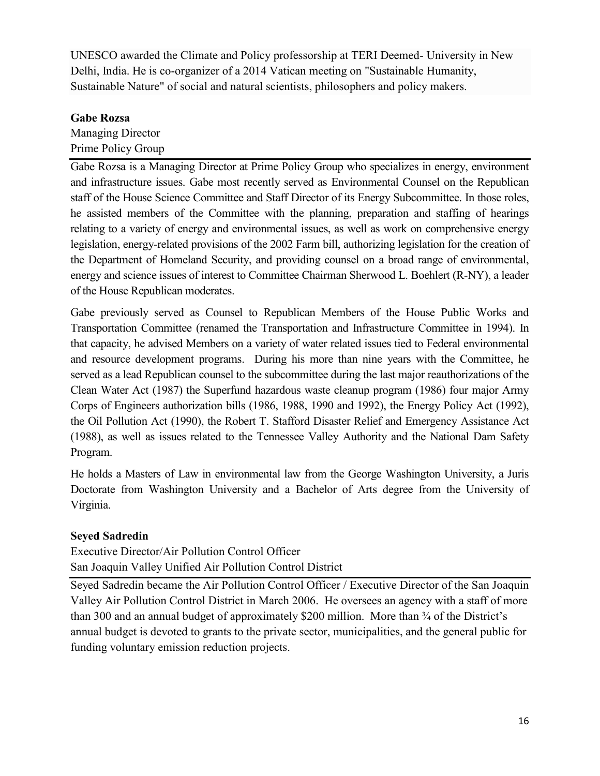UNESCO awarded the Climate and Policy professorship at TERI Deemed- University in New Delhi, India. He is co-organizer of a 2014 Vatican meeting on "Sustainable Humanity, Sustainable Nature" of social and natural scientists, philosophers and policy makers.

## **Gabe Rozsa**

Managing Director Prime Policy Group

Gabe Rozsa is a Managing Director at Prime Policy Group who specializes in energy, environment and infrastructure issues. Gabe most recently served as Environmental Counsel on the Republican staff of the House Science Committee and Staff Director of its Energy Subcommittee. In those roles, he assisted members of the Committee with the planning, preparation and staffing of hearings relating to a variety of energy and environmental issues, as well as work on comprehensive energy legislation, energy-related provisions of the 2002 Farm bill, authorizing legislation for the creation of the Department of Homeland Security, and providing counsel on a broad range of environmental, energy and science issues of interest to Committee Chairman Sherwood L. Boehlert (R-NY), a leader of the House Republican moderates.

Gabe previously served as Counsel to Republican Members of the House Public Works and Transportation Committee (renamed the Transportation and Infrastructure Committee in 1994). In that capacity, he advised Members on a variety of water related issues tied to Federal environmental and resource development programs. During his more than nine years with the Committee, he served as a lead Republican counsel to the subcommittee during the last major reauthorizations of the Clean Water Act (1987) the Superfund hazardous waste cleanup program (1986) four major Army Corps of Engineers authorization bills (1986, 1988, 1990 and 1992), the Energy Policy Act (1992), the Oil Pollution Act (1990), the Robert T. Stafford Disaster Relief and Emergency Assistance Act (1988), as well as issues related to the Tennessee Valley Authority and the National Dam Safety Program.

He holds a Masters of Law in environmental law from the George Washington University, a Juris Doctorate from Washington University and a Bachelor of Arts degree from the University of Virginia.

# **Seyed Sadredin**

Executive Director/Air Pollution Control Officer San Joaquin Valley Unified Air Pollution Control District

Seyed Sadredin became the Air Pollution Control Officer / Executive Director of the San Joaquin Valley Air Pollution Control District in March 2006. He oversees an agency with a staff of more than 300 and an annual budget of approximately \$200 million. More than  $\frac{3}{4}$  of the District's annual budget is devoted to grants to the private sector, municipalities, and the general public for funding voluntary emission reduction projects.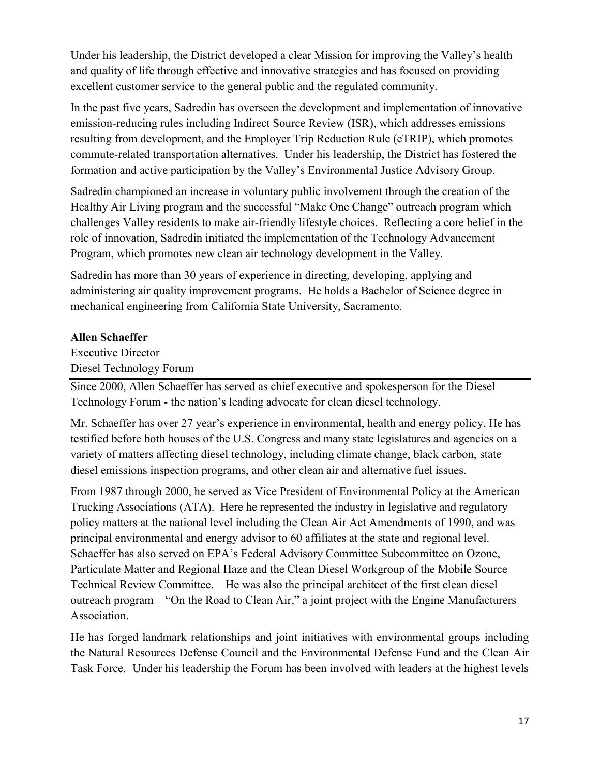Under his leadership, the District developed a clear Mission for improving the Valley's health and quality of life through effective and innovative strategies and has focused on providing excellent customer service to the general public and the regulated community.

In the past five years, Sadredin has overseen the development and implementation of innovative emission-reducing rules including Indirect Source Review (ISR), which addresses emissions resulting from development, and the Employer Trip Reduction Rule (eTRIP), which promotes commute-related transportation alternatives. Under his leadership, the District has fostered the formation and active participation by the Valley's Environmental Justice Advisory Group.

Sadredin championed an increase in voluntary public involvement through the creation of the Healthy Air Living program and the successful "Make One Change" outreach program which challenges Valley residents to make air-friendly lifestyle choices. Reflecting a core belief in the role of innovation, Sadredin initiated the implementation of the Technology Advancement Program, which promotes new clean air technology development in the Valley.

Sadredin has more than 30 years of experience in directing, developing, applying and administering air quality improvement programs. He holds a Bachelor of Science degree in mechanical engineering from California State University, Sacramento.

#### **Allen Schaeffer**

Executive Director Diesel Technology Forum

Since 2000, Allen Schaeffer has served as chief executive and spokesperson for the Diesel Technology Forum - the nation's leading advocate for clean diesel technology.

Mr. Schaeffer has over 27 year's experience in environmental, health and energy policy, He has testified before both houses of the U.S. Congress and many state legislatures and agencies on a variety of matters affecting diesel technology, including climate change, black carbon, state diesel emissions inspection programs, and other clean air and alternative fuel issues.

From 1987 through 2000, he served as Vice President of Environmental Policy at the American Trucking Associations (ATA). Here he represented the industry in legislative and regulatory policy matters at the national level including the Clean Air Act Amendments of 1990, and was principal environmental and energy advisor to 60 affiliates at the state and regional level. Schaeffer has also served on EPA's Federal Advisory Committee Subcommittee on Ozone, Particulate Matter and Regional Haze and the Clean Diesel Workgroup of the Mobile Source Technical Review Committee. He was also the principal architect of the first clean diesel outreach program—"On the Road to Clean Air," a joint project with the Engine Manufacturers Association.

He has forged landmark relationships and joint initiatives with environmental groups including the Natural Resources Defense Council and the Environmental Defense Fund and the Clean Air Task Force. Under his leadership the Forum has been involved with leaders at the highest levels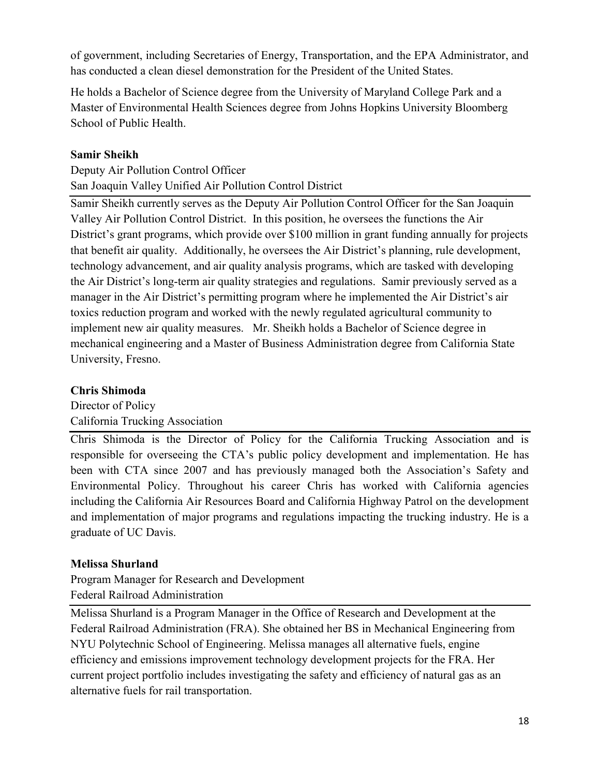of government, including Secretaries of Energy, Transportation, and the EPA Administrator, and has conducted a clean diesel demonstration for the President of the United States.

He holds a Bachelor of Science degree from the University of Maryland College Park and a Master of Environmental Health Sciences degree from Johns Hopkins University Bloomberg School of Public Health.

## **Samir Sheikh**

Deputy Air Pollution Control Officer San Joaquin Valley Unified Air Pollution Control District

Samir Sheikh currently serves as the Deputy Air Pollution Control Officer for the San Joaquin Valley Air Pollution Control District. In this position, he oversees the functions the Air District's grant programs, which provide over \$100 million in grant funding annually for projects that benefit air quality. Additionally, he oversees the Air District's planning, rule development, technology advancement, and air quality analysis programs, which are tasked with developing the Air District's long-term air quality strategies and regulations. Samir previously served as a manager in the Air District's permitting program where he implemented the Air District's air toxics reduction program and worked with the newly regulated agricultural community to implement new air quality measures. Mr. Sheikh holds a Bachelor of Science degree in mechanical engineering and a Master of Business Administration degree from California State University, Fresno.

## **Chris Shimoda**

Director of Policy California Trucking Association

Chris Shimoda is the Director of Policy for the California Trucking Association and is responsible for overseeing the CTA's public policy development and implementation. He has been with CTA since 2007 and has previously managed both the Association's Safety and Environmental Policy. Throughout his career Chris has worked with California agencies including the California Air Resources Board and California Highway Patrol on the development and implementation of major programs and regulations impacting the trucking industry. He is a graduate of UC Davis.

#### **Melissa Shurland**

Program Manager for Research and Development Federal Railroad Administration

Melissa Shurland is a Program Manager in the Office of Research and Development at the Federal Railroad Administration (FRA). She obtained her BS in Mechanical Engineering from NYU Polytechnic School of Engineering. Melissa manages all alternative fuels, engine efficiency and emissions improvement technology development projects for the FRA. Her current project portfolio includes investigating the safety and efficiency of natural gas as an alternative fuels for rail transportation.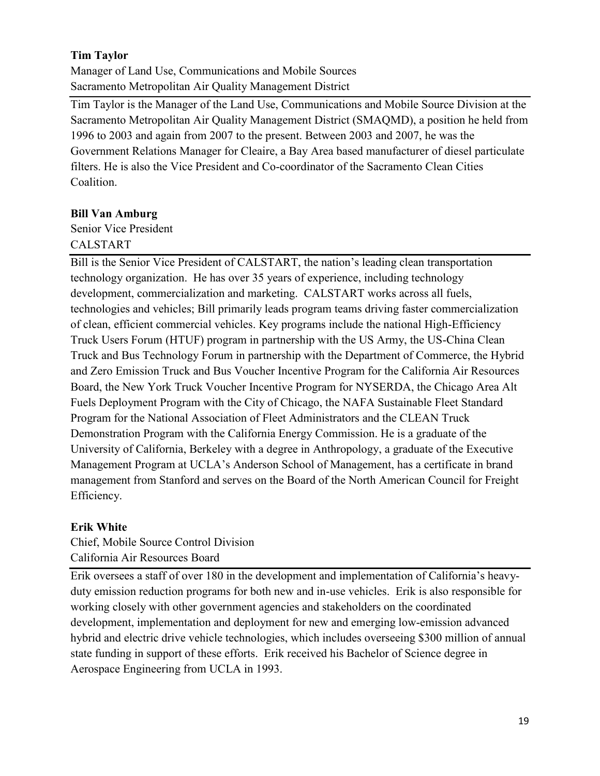## **Tim Taylor**

Manager of Land Use, Communications and Mobile Sources Sacramento Metropolitan Air Quality Management District

Tim Taylor is the Manager of the Land Use, Communications and Mobile Source Division at the Sacramento Metropolitan Air Quality Management District (SMAQMD), a position he held from 1996 to 2003 and again from 2007 to the present. Between 2003 and 2007, he was the Government Relations Manager for Cleaire, a Bay Area based manufacturer of diesel particulate filters. He is also the Vice President and Co-coordinator of the Sacramento Clean Cities Coalition.

## **Bill Van Amburg**

Senior Vice President CALSTART

Bill is the Senior Vice President of CALSTART, the nation's leading clean transportation technology organization. He has over 35 years of experience, including technology development, commercialization and marketing. CALSTART works across all fuels, technologies and vehicles; Bill primarily leads program teams driving faster commercialization of clean, efficient commercial vehicles. Key programs include the national High-Efficiency Truck Users Forum (HTUF) program in partnership with the US Army, the US-China Clean Truck and Bus Technology Forum in partnership with the Department of Commerce, the Hybrid and Zero Emission Truck and Bus Voucher Incentive Program for the California Air Resources Board, the New York Truck Voucher Incentive Program for NYSERDA, the Chicago Area Alt Fuels Deployment Program with the City of Chicago, the NAFA Sustainable Fleet Standard Program for the National Association of Fleet Administrators and the CLEAN Truck Demonstration Program with the California Energy Commission. He is a graduate of the University of California, Berkeley with a degree in Anthropology, a graduate of the Executive Management Program at UCLA's Anderson School of Management, has a certificate in brand management from Stanford and serves on the Board of the North American Council for Freight Efficiency.

#### **Erik White**

Chief, Mobile Source Control Division California Air Resources Board

Erik oversees a staff of over 180 in the development and implementation of California's heavyduty emission reduction programs for both new and in-use vehicles. Erik is also responsible for working closely with other government agencies and stakeholders on the coordinated development, implementation and deployment for new and emerging low-emission advanced hybrid and electric drive vehicle technologies, which includes overseeing \$300 million of annual state funding in support of these efforts. Erik received his Bachelor of Science degree in Aerospace Engineering from UCLA in 1993.